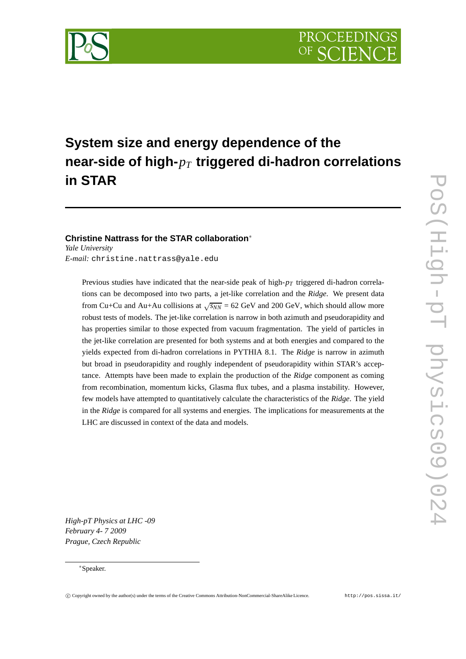

# **System size and energy dependence of the near-side of high-***p<sup>T</sup>* **triggered di-hadron correlations in STAR**

**Christine Nattrass for the STAR collaboration**∗ *Yale University E-mail:* christine.nattrass@yale.edu

Previous studies have indicated that the near-side peak of high-*p<sup>T</sup>* triggered di-hadron correlations can be decomposed into two parts, a jet-like correlation and the *Ridge*. We present data from Cu+Cu and Au+Au collisions at  $\sqrt{s_{NN}}$  = 62 GeV and 200 GeV, which should allow more robust tests of models. The jet-like correlation is narrow in both azimuth and pseudorapidity and has properties similar to those expected from vacuum fragmentation. The yield of particles in the jet-like correlation are presented for both systems and at both energies and compared to the yields expected from di-hadron correlations in PYTHIA 8.1. The *Ridge* is narrow in azimuth but broad in pseudorapidity and roughly independent of pseudorapidity within STAR's acceptance. Attempts have been made to explain the production of the *Ridge* component as coming from recombination, momentum kicks, Glasma flux tubes, and a plasma instability. However, few models have attempted to quantitatively calculate the characteristics of the *Ridge*. The yield in the *Ridge* is compared for all systems and energies. The implications for measurements at the LHC are discussed in context of the data and models.

*High-pT Physics at LHC -09 February 4- 7 2009 Prague, Czech Republic*

## ∗Speaker.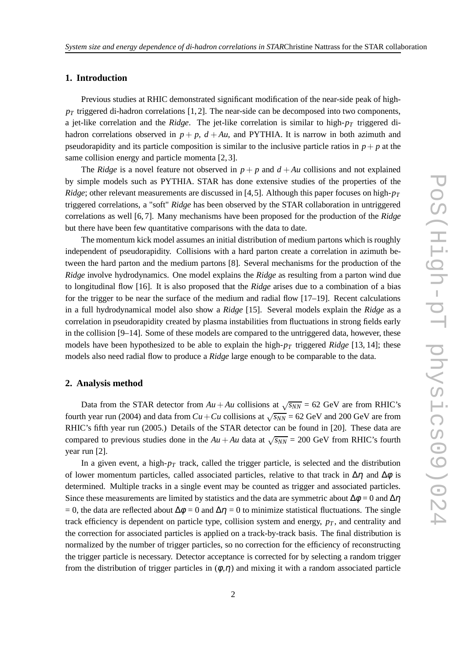## **1. Introduction**

Previous studies at RHIC demonstrated significant modification of the near-side peak of high $p_T$  triggered di-hadron correlations [1,2]. The near-side can be decomposed into two components, a jet-like correlation and the *Ridge*. The jet-like correlation is similar to high-*p<sup>T</sup>* triggered dihadron correlations observed in  $p + p$ ,  $d + Au$ , and PYTHIA. It is narrow in both azimuth and pseudorapidity and its particle composition is similar to the inclusive particle ratios in  $p + p$  at the same collision energy and particle momenta [2, 3].

The *Ridge* is a novel feature not observed in  $p + p$  and  $d + Au$  collisions and not explained by simple models such as PYTHIA. STAR has done extensive studies of the properties of the *Ridge*; other relevant measurements are discussed in [4,5]. Although this paper focuses on high- $p<sub>T</sub>$ triggered correlations, a "soft" *Ridge* has been observed by the STAR collaboration in untriggered correlations as well [6, 7]. Many mechanisms have been proposed for the production of the *Ridge* but there have been few quantitative comparisons with the data to date.

The momentum kick model assumes an initial distribution of medium partons which is roughly independent of pseudorapidity. Collisions with a hard parton create a correlation in azimuth between the hard parton and the medium partons [8]. Several mechanisms for the production of the *Ridge* involve hydrodynamics. One model explains the *Ridge* as resulting from a parton wind due to longitudinal flow [16]. It is also proposed that the *Ridge* arises due to a combination of a bias for the trigger to be near the surface of the medium and radial flow [17–19]. Recent calculations in a full hydrodynamical model also show a *Ridge* [15]. Several models explain the *Ridge* as a correlation in pseudorapidity created by plasma instabilities from fluctuations in strong fields early in the collision [9–14]. Some of these models are compared to the untriggered data, however, these models have been hypothesized to be able to explain the high-*p<sup>T</sup>* triggered *Ridge* [13, 14]; these models also need radial flow to produce a *Ridge* large enough to be comparable to the data.

### **2. Analysis method**

Data from the STAR detector from  $Au + Au$  collisions at  $\sqrt{s_{NN}} = 62$  GeV are from RHIC's fourth year run (2004) and data from  $Cu + Cu$  collisions at  $\sqrt{s_{NN}}$  = 62 GeV and 200 GeV are from RHIC's fifth year run (2005.) Details of the STAR detector can be found in [20]. These data are compared to previous studies done in the  $Au + Au$  data at  $\sqrt{s_{NN}} = 200$  GeV from RHIC's fourth year run [2].

In a given event, a high-*p<sup>T</sup>* track, called the trigger particle, is selected and the distribution of lower momentum particles, called associated particles, relative to that track in  $\Delta \eta$  and  $\Delta \phi$  is determined. Multiple tracks in a single event may be counted as trigger and associated particles. Since these measurements are limited by statistics and the data are symmetric about  $\Delta \phi = 0$  and  $\Delta \eta$ = 0, the data are reflected about  $\Delta \phi = 0$  and  $\Delta \eta = 0$  to minimize statistical fluctuations. The single track efficiency is dependent on particle type, collision system and energy,  $p<sub>T</sub>$ , and centrality and the correction for associated particles is applied on a track-by-track basis. The final distribution is normalized by the number of trigger particles, so no correction for the efficiency of reconstructing the trigger particle is necessary. Detector acceptance is corrected for by selecting a random trigger from the distribution of trigger particles in  $(\phi, \eta)$  and mixing it with a random associated particle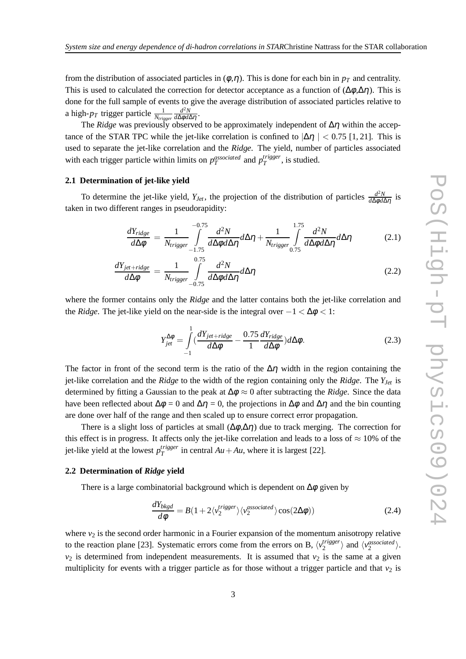from the distribution of associated particles in  $(\phi, \eta)$ . This is done for each bin in  $p<sub>T</sub>$  and centrality. This is used to calculated the correction for detector acceptance as a function of  $(\Delta \phi, \Delta \eta)$ . This is done for the full sample of events to give the average distribution of associated particles relative to a high- $p_T$  trigger particle  $\frac{1}{N_{trigger}}$  $d^2N$ *d*∆φ*d*∆η .

The *Ridge* was previously observed to be approximately independent of ∆η within the acceptance of the STAR TPC while the jet-like correlation is confined to  $|\Delta \eta| < 0.75$  [1, 21]. This is used to separate the jet-like correlation and the *Ridge*. The yield, number of particles associated with each trigger particle within limits on  $p_T^{associated}$  and  $p_T^{trigger}$  $T^{ragger}$ , is studied.

### **2.1 Determination of jet-like yield**

To determine the jet-like yield,  $Y_{Jet}$ , the projection of the distribution of particles  $\frac{d^2N}{d\Delta\phi d/dt}$ *d*∆φ*d*∆η is taken in two different ranges in pseudorapidity:

$$
\frac{dY_{ridge}}{d\Delta\phi} = \frac{1}{N_{trigger}} \int_{-1.75}^{-0.75} \frac{d^2N}{d\Delta\phi d\Delta\eta} d\Delta\eta + \frac{1}{N_{trigger}} \int_{0.75}^{1.75} \frac{d^2N}{d\Delta\phi d\Delta\eta} d\Delta\eta
$$
(2.1)

$$
\frac{dY_{jet+ridge}}{d\Delta\phi} = \frac{1}{N_{trigger}} \int_{-0.75}^{0.75} \frac{d^2N}{d\Delta\phi d\Delta\eta} d\Delta\eta
$$
\n(2.2)

where the former contains only the *Ridge* and the latter contains both the jet-like correlation and the *Ridge*. The jet-like yield on the near-side is the integral over  $-1 < \Delta \phi < 1$ :

$$
Y_{jet}^{\Delta\phi} = \int_{-1}^{1} \left( \frac{dY_{jet + ridge}}{d\Delta\phi} - \frac{0.75}{1} \frac{dY_{ridge}}{d\Delta\phi} \right) d\Delta\phi.
$$
 (2.3)

The factor in front of the second term is the ratio of the  $\Delta \eta$  width in the region containing the jet-like correlation and the *Ridge* to the width of the region containing only the *Ridge*. The *YJet* is determined by fitting a Gaussian to the peak at ∆<sup>φ</sup> ≈ 0 after subtracting the *Ridge*. Since the data have been reflected about  $\Delta \phi = 0$  and  $\Delta \eta = 0$ , the projections in  $\Delta \phi$  and  $\Delta \eta$  and the bin counting are done over half of the range and then scaled up to ensure correct error propagation.

There is a slight loss of particles at small  $(\Delta \phi, \Delta \eta)$  due to track merging. The correction for this effect is in progress. It affects only the jet-like correlation and leads to a loss of  $\approx 10\%$  of the jet-like yield at the lowest *p trigger*  $T_T^{Higgs}$  in central  $Au + Au$ , where it is largest [22].

#### **2.2 Determination of** *Ridge* **yield**

There is a large combinatorial background which is dependent on  $\Delta\phi$  given by

$$
\frac{dY_{bkgd}}{d\phi} = B(1 + 2\langle v_2^{trigger} \rangle \langle v_2^{associated} \rangle \cos(2\Delta\phi))
$$
\n(2.4)

where  $v_2$  is the second order harmonic in a Fourier expansion of the momentum anisotropy relative to the reaction plane [23]. Systematic errors come from the errors on B,  $\langle v_2^{trigger} \rangle$  $\langle v_2^{associated} \rangle$  and  $\langle v_2^{associated} \rangle$ .  $v_2$  is determined from independent measurements. It is assumed that  $v_2$  is the same at a given multiplicity for events with a trigger particle as for those without a trigger particle and that  $v_2$  is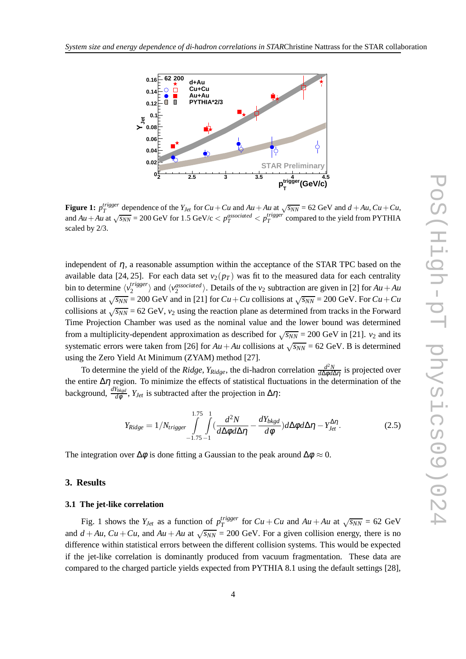

**Figure 1:**  $p_T^{trigger}$  dependence of the  $Y_{Jet}$  for  $Cu + Cu$  and  $Au + Au$  at  $\sqrt{s_{NN}} = 62$  GeV and  $d + Au$ ,  $Cu + Cu$ , and  $Au + Au$  at  $\sqrt{s_{NN}} = 200$  GeV for 1.5 GeV/c  $\lt p_T^{associated} \lt p_T^{trigger}$  compared to the yield from PYTHIA scaled by 2/3.

independent of  $\eta$ , a reasonable assumption within the acceptance of the STAR TPC based on the available data [24, 25]. For each data set  $v_2(p_T)$  was fit to the measured data for each centrality bin to determine  $\langle v_2^{trigger} \rangle$  $\langle v_2^{trigger} \rangle$  and  $\langle v_2^{associated} \rangle$ . Details of the  $v_2$  subtraction are given in [2] for  $Au + Au$ collisions at  $\sqrt{s_{NN}}$  = 200 GeV and in [21] for  $Cu + Cu$  collisions at  $\sqrt{s_{NN}}$  = 200 GeV. For  $Cu + Cu$ collisions at  $\sqrt{s_{NN}}$  = 62 GeV,  $v_2$  using the reaction plane as determined from tracks in the Forward Time Projection Chamber was used as the nominal value and the lower bound was determined from a multiplicity-dependent approximation as described for  $\sqrt{s_{NN}}$  = 200 GeV in [21]. *v*<sub>2</sub> and its systematic errors were taken from [26] for  $Au + Au$  collisions at  $\sqrt{s_{NN}} = 62$  GeV. B is determined using the Zero Yield At Minimum (ZYAM) method [27].

To determine the yield of the *Ridge*,  $Y_{Ridge}$ , the di-hadron correlation  $\frac{d^2N}{d\Delta\phi d}$ *d*∆φ*d*∆η is projected over the entire  $\Delta \eta$  region. To minimize the effects of statistical fluctuations in the determination of the background,  $\frac{dY_{bkgd}}{d\phi}$ ,  $Y_{Jet}$  is subtracted after the projection in  $\Delta \eta$ :

$$
Y_{Ridge} = 1/N_{trigger} \int_{-1.75-1}^{1.75-1} \int_{d\Delta\phi} \frac{d^2N}{d\Delta\phi d\Delta\eta} - \frac{dY_{bkgd}}{d\phi} d\Delta\phi d\Delta\eta - Y_{Jet}^{\Delta\eta}.
$$
 (2.5)

The integration over  $\Delta \phi$  is done fitting a Gaussian to the peak around  $\Delta \phi \approx 0$ .

### **3. Results**

#### **3.1 The jet-like correlation**

Fig. 1 shows the  $Y_{Jet}$  as a function of  $p_T^{trigger}$  $T_T^{trigger}$  for  $Cu + Cu$  and  $Au + Au$  at  $\sqrt{s_{NN}} = 62$  GeV and  $d + Au$ ,  $Cu + Cu$ , and  $Au + Au$  at  $\sqrt{s_{NN}} = 200$  GeV. For a given collision energy, there is no difference within statistical errors between the different collision systems. This would be expected if the jet-like correlation is dominantly produced from vacuum fragmentation. These data are compared to the charged particle yields expected from PYTHIA 8.1 using the default settings [28],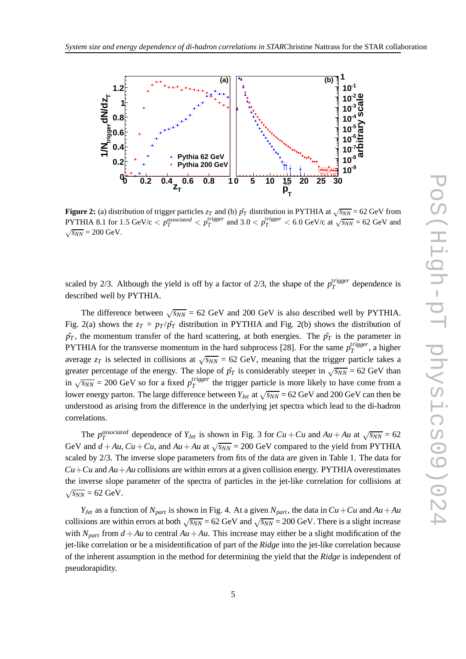

**Figure 2:** (a) distribution of trigger particles  $z_T$  and (b)  $\hat{p}_T$  distribution in PYTHIA at  $\sqrt{s_{NN}}$  = 62 GeV from PYTHIA 8.1 for 1.5 GeV/c  $\lt p_T^{associated} \lt p_T^{trigger}$  and 3.0  $\lt p_T^{trigger} \lt 6.0$  GeV/c at  $\sqrt{s_{NN}}$  = 62 GeV and  $\sqrt{s_{NN}} = 200 \text{ GeV}.$ 

scaled by 2/3. Although the yield is off by a factor of 2/3, the shape of the  $p_T^{trigger}$  $T^{ragger}$  dependence is described well by PYTHIA.

The difference between  $\sqrt{s_{NN}}$  = 62 GeV and 200 GeV is also described well by PYTHIA. Fig. 2(a) shows the  $z_T = p_T / p_T$  distribution in PYTHIA and Fig. 2(b) shows the distribution of  $\hat{p}_T$ , the momentum transfer of the hard scattering, at both energies. The  $\hat{p}_T$  is the parameter in PYTHIA for the transverse momentum in the hard subprocess [28]. For the same  $p_T^{trigger}$  $T^{rigger}$ , a higher average  $z_T$  is selected in collisions at  $\sqrt{s_{NN}}$  = 62 GeV, meaning that the trigger particle takes a greater percentage of the energy. The slope of  $\hat{p}_T$  is considerably steeper in  $\sqrt{s_{NN}} = 62$  GeV than  $\sin \sqrt{s_{NN}}$  = 200 GeV so for a fixed  $p_T^{trigger}$  $T^{tragger}_{T}$  the trigger particle is more likely to have come from a lower energy parton. The large difference between  $Y_{Jet}$  at  $\sqrt{s_{NN}}$  = 62 GeV and 200 GeV can then be understood as arising from the difference in the underlying jet spectra which lead to the di-hadron correlations.

The  $p_T^{associated}$  dependence of  $Y_{Jet}$  is shown in Fig. 3 for  $Cu + Cu$  and  $Au + Au$  at  $\sqrt{s_{NN}} = 62$ GeV and  $d + Au$ ,  $Cu + Cu$ , and  $Au + Au$  at  $\sqrt{s_{NN}} = 200$  GeV compared to the yield from PYTHIA scaled by 2/3. The inverse slope parameters from fits of the data are given in Table 1. The data for  $Cu + Cu$  and  $Au + Au$  collisions are within errors at a given collision energy. PYTHIA overestimates the inverse slope parameter of the spectra of particles in the jet-like correlation for collisions at  $\sqrt{s_{NN}}$  = 62 GeV.

*Y*<sub>*Jet</sub>* as a function of  $N_{part}$  is shown in Fig. 4. At a given  $N_{part}$ , the data in  $Cu + Cu$  and  $Au + Au$ </sub> collisions are within errors at both  $\sqrt{s_{NN}}$  = 62 GeV and  $\sqrt{s_{NN}}$  = 200 GeV. There is a slight increase with  $N_{part}$  from  $d + Au$  to central  $Au + Au$ . This increase may either be a slight modification of the jet-like correlation or be a misidentification of part of the *Ridge* into the jet-like correlation because of the inherent assumption in the method for determining the yield that the *Ridge* is independent of pseudorapidity.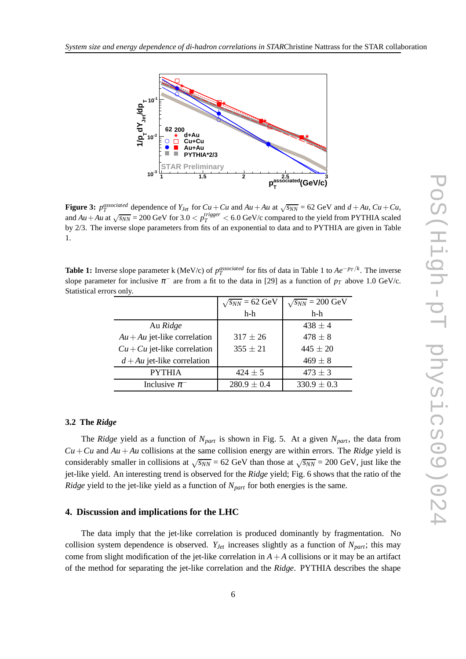

**Figure 3:**  $p_T^{associated}$  dependence of  $Y_{Jet}$  for  $Cu + Cu$  and  $Au + Au$  at  $\sqrt{s_{NN}} = 62$  GeV and  $d + Au$ ,  $Cu + Cu$ , and  $Au + Au$  at  $\sqrt{s_{NN}} = 200$  GeV for 3.0  $\lt p_T^{trigger} \lt 6.0$  GeV/c compared to the yield from PYTHIA scaled by 2/3. The inverse slope parameters from fits of an exponential to data and to PYTHIA are given in Table 1.

**Table 1:** Inverse slope parameter k (MeV/c) of  $p_T^{associated}$  for fits of data in Table 1 to  $Ae^{-p_T/k}$ . The inverse slope parameter for inclusive  $\pi^-$  are from a fit to the data in [29] as a function of  $p_T$  above 1.0 GeV/c. Statistical errors only.

|                                | $\sqrt{s_{NN}}$ = 62 GeV | $\sqrt{s_{NN}}$ = 200 GeV |
|--------------------------------|--------------------------|---------------------------|
|                                | $h-h$                    | $h-h$                     |
| Au Ridge                       |                          | $438 \pm 4$               |
| $Au + Au$ jet-like correlation | $317 \pm 26$             | $478 \pm 8$               |
| $Cu + Cu$ jet-like correlation | $355 \pm 21$             | $445 \pm 20$              |
| $d + Au$ jet-like correlation  |                          | $469 \pm 8$               |
| <b>PYTHIA</b>                  | $424 \pm 5$              | $473 \pm 3$               |
| Inclusive $\pi^-$              | $280.9 \pm 0.4$          | $330.9 \pm 0.3$           |

## **3.2 The** *Ridge*

The *Ridge* yield as a function of *Npart* is shown in Fig. 5. At a given *Npart*, the data from  $Cu + Cu$  and  $Au + Au$  collisions at the same collision energy are within errors. The *Ridge* yield is considerably smaller in collisions at  $\sqrt{s_{NN}}$  = 62 GeV than those at  $\sqrt{s_{NN}}$  = 200 GeV, just like the jet-like yield. An interesting trend is observed for the *Ridge* yield; Fig. 6 shows that the ratio of the *Ridge* yield to the jet-like yield as a function of *Npart* for both energies is the same.

## **4. Discussion and implications for the LHC**

The data imply that the jet-like correlation is produced dominantly by fragmentation. No collision system dependence is observed.  $Y_{Jet}$  increases slightly as a function of  $N_{part}$ ; this may come from slight modification of the jet-like correlation in  $A + A$  collisions or it may be an artifact of the method for separating the jet-like correlation and the *Ridge*. PYTHIA describes the shape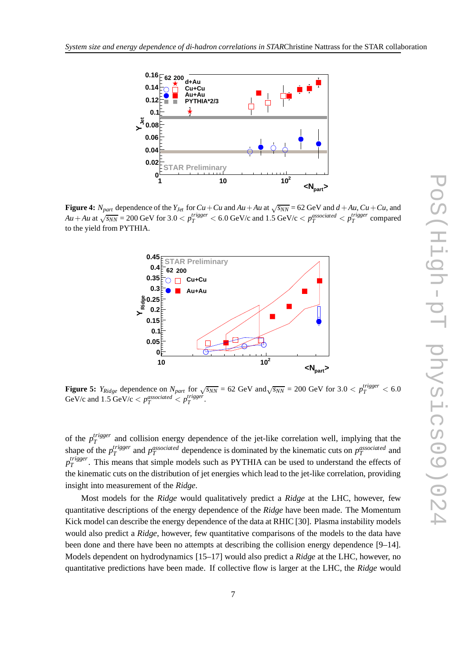

**Figure 4:**  $N_{part}$  dependence of the  $Y_{Jet}$  for  $Cu + Cu$  and  $Au + Au$  at  $\sqrt{s_{NN}} = 62$  GeV and  $d + Au$ ,  $Cu + Cu$ , and  $Au + Au$  at  $\sqrt{s_{NN}} = 200$  GeV for  $3.0 < p_T^{trigger} < 6.0$  GeV/c and  $1.5$  GeV/c  $< p_T^{associated} < p_T^{trigger}$  compared to the yield from PYTHIA.



**Figure 5:**  $Y_{Ridge}$  dependence on  $N_{part}$  for  $\sqrt{s_{NN}} = 62$  GeV and  $\sqrt{s_{NN}} = 200$  GeV for  $3.0 < p_T^{trigger} < 6.0$ GeV/c and  $1.5$  GeV/c  $\lt p_T^{associated} \lt p_T^{trigger}$ .

of the *p trigger*  $T^{ragger}$  and collision energy dependence of the jet-like correlation well, implying that the shape of the  $p_T^{trigger}$ *T*<sup>*a*</sup> and *p*<sup>*associated*</sup> dependence is dominated by the kinematic cuts on *p*<sup>*associated*</sup> and *p trigger*  $T^{ragger}_{T}$ . This means that simple models such as PYTHIA can be used to understand the effects of the kinematic cuts on the distribution of jet energies which lead to the jet-like correlation, providing insight into measurement of the *Ridge*.

Most models for the *Ridge* would qualitatively predict a *Ridge* at the LHC, however, few quantitative descriptions of the energy dependence of the *Ridge* have been made. The Momentum Kick model can describe the energy dependence of the data at RHIC [30]. Plasma instability models would also predict a *Ridge*, however, few quantitative comparisons of the models to the data have been done and there have been no attempts at describing the collision energy dependence [9–14]. Models dependent on hydrodynamics [15–17] would also predict a *Ridge* at the LHC, however, no quantitative predictions have been made. If collective flow is larger at the LHC, the *Ridge* would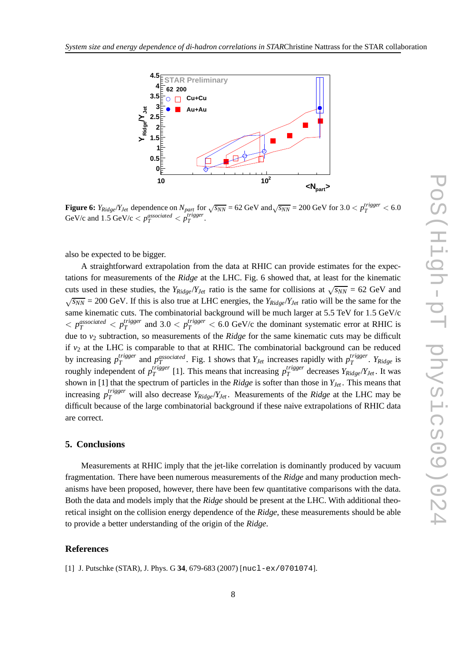

**Figure 6:**  $Y_{Ridge}/Y_{Jet}$  dependence on  $N_{part}$  for  $\sqrt{s_{NN}}$  = 62 GeV and  $\sqrt{s_{NN}}$  = 200 GeV for 3.0  $\lt p_T^{trigger}$   $\lt 6.0$ GeV/c and  $1.5$  GeV/c  $\lt p_T^{associated} < p_T^{trigger}$ .

also be expected to be bigger.

A straightforward extrapolation from the data at RHIC can provide estimates for the expectations for measurements of the *Ridge* at the LHC. Fig. 6 showed that, at least for the kinematic cuts used in these studies, the  $Y_{Ridge}/Y_{Jet}$  ratio is the same for collisions at  $\sqrt{s_{NN}} = 62$  GeV and  $\sqrt{s_{NN}}$  = 200 GeV. If this is also true at LHC energies, the  $Y_{Ridge}/Y_{Jet}$  ratio will be the same for the same kinematic cuts. The combinatorial background will be much larger at 5.5 TeV for 1.5 GeV/c  $\langle$  *p*<sup>*associated*  $\langle$  *p*<sup>*trigger*</sup></sup>  $T_T^{trigger}$  and 3.0  $\lt p_T^{trigger}$   $\lt 6.0$  GeV/c the dominant systematic error at RHIC is due to *v*<sup>2</sup> subtraction, so measurements of the *Ridge* for the same kinematic cuts may be difficult if  $v_2$  at the LHC is comparable to that at RHIC. The combinatorial background can be reduced by increasing *p trigger T*<sup>*trigger*</sup> and *p*<sup>*associated*. Fig. 1 shows that *Y<sub>Jet</sub>* increases rapidly with  $p_T^{trigger}$ </sup> *T* . *YRidge* is roughly independent of *p trigger T* [1]. This means that increasing *p trigger T* decreases *YRidge*/*YJet* . It was shown in [1] that the spectrum of particles in the *Ridge* is softer than those in *YJet* . This means that increasing  $p_T^{trigger}$  will also decrease  $Y_{Ridge}/Y_{Jet}$ . Measurements of the *Ridge* at the LHC may be difficult because of the large combinatorial background if these naive extrapolations of RHIC data are correct.

## **5. Conclusions**

Measurements at RHIC imply that the jet-like correlation is dominantly produced by vacuum fragmentation. There have been numerous measurements of the *Ridge* and many production mechanisms have been proposed, however, there have been few quantitative comparisons with the data. Both the data and models imply that the *Ridge* should be present at the LHC. With additional theoretical insight on the collision energy dependence of the *Ridge*, these measurements should be able to provide a better understanding of the origin of the *Ridge*.

## **References**

[1] J. Putschke (STAR), J. Phys. G **34**, 679-683 (2007) [nucl-ex/0701074].